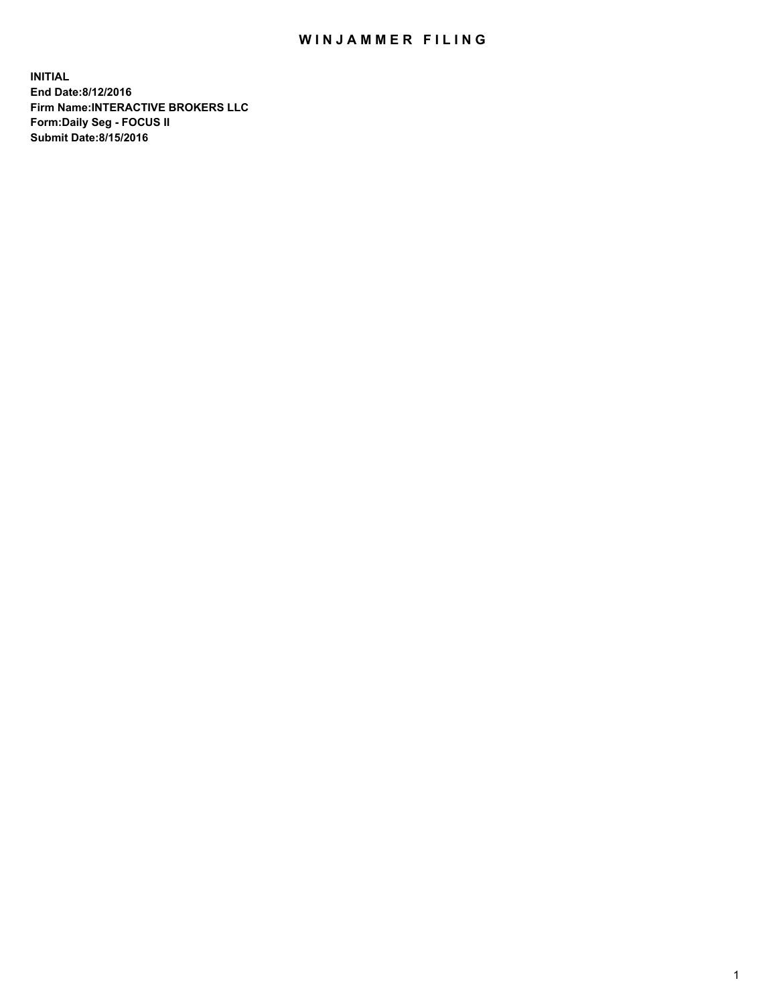## WIN JAMMER FILING

**INITIAL End Date:8/12/2016 Firm Name:INTERACTIVE BROKERS LLC Form:Daily Seg - FOCUS II Submit Date:8/15/2016**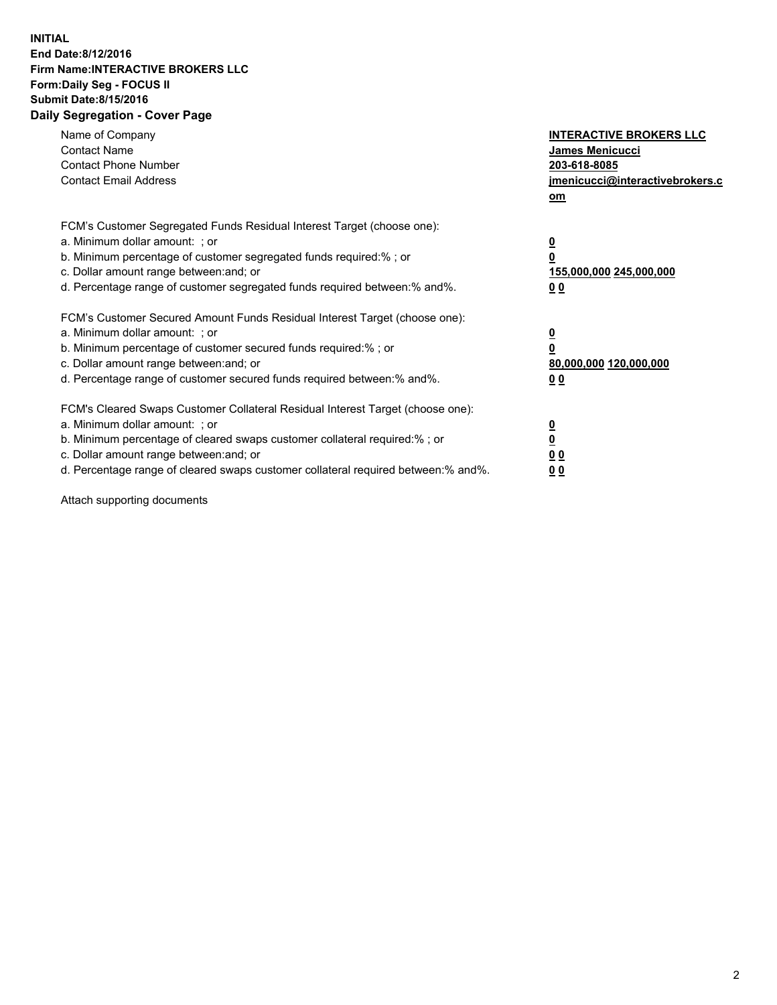## **INITIAL End Date:8/12/2016 Firm Name:INTERACTIVE BROKERS LLC Form:Daily Seg - FOCUS II Submit Date:8/15/2016 Daily Segregation - Cover Page**

| Name of Company<br><b>Contact Name</b><br><b>Contact Phone Number</b><br><b>Contact Email Address</b>                                                                                                                                                                                                                          | <b>INTERACTIVE BROKERS LLC</b><br><b>James Menicucci</b><br>203-618-8085<br>jmenicucci@interactivebrokers.c<br>om |
|--------------------------------------------------------------------------------------------------------------------------------------------------------------------------------------------------------------------------------------------------------------------------------------------------------------------------------|-------------------------------------------------------------------------------------------------------------------|
| FCM's Customer Segregated Funds Residual Interest Target (choose one):<br>a. Minimum dollar amount: ; or<br>b. Minimum percentage of customer segregated funds required:% ; or<br>c. Dollar amount range between: and; or<br>d. Percentage range of customer segregated funds required between: % and %.                       | $\overline{\mathbf{0}}$<br>0<br>155,000,000 245,000,000<br>00                                                     |
| FCM's Customer Secured Amount Funds Residual Interest Target (choose one):<br>a. Minimum dollar amount: ; or<br>b. Minimum percentage of customer secured funds required:%; or<br>c. Dollar amount range between: and; or<br>d. Percentage range of customer secured funds required between: % and %.                          | $\overline{\mathbf{0}}$<br>0<br>80,000,000 120,000,000<br>0 <sub>0</sub>                                          |
| FCM's Cleared Swaps Customer Collateral Residual Interest Target (choose one):<br>a. Minimum dollar amount: ; or<br>b. Minimum percentage of cleared swaps customer collateral required:% ; or<br>c. Dollar amount range between: and; or<br>d. Percentage range of cleared swaps customer collateral required between:% and%. | $\overline{\mathbf{0}}$<br>$\underline{\mathbf{0}}$<br>0 <sub>0</sub><br>0 <sub>0</sub>                           |

Attach supporting documents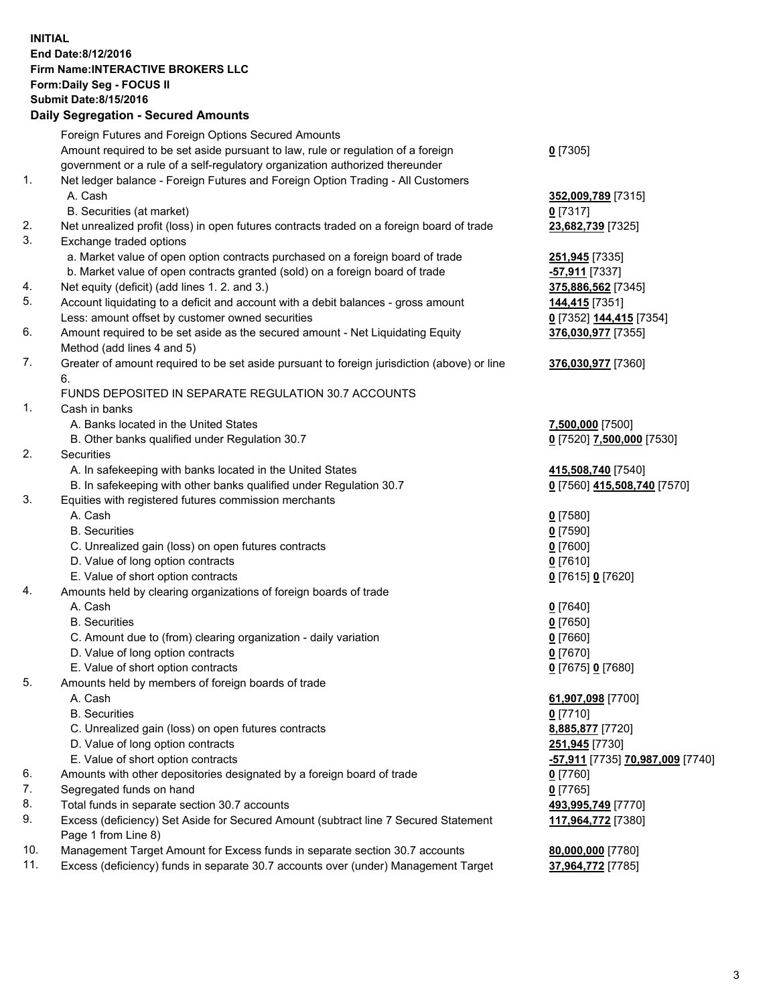## **INITIAL End Date:8/12/2016 Firm Name:INTERACTIVE BROKERS LLC Form:Daily Seg - FOCUS II Submit Date:8/15/2016 Daily Segregation - Secured Amounts**

|     | Daily Ocglegation - Occuled Amounts                                                                        |                                  |
|-----|------------------------------------------------------------------------------------------------------------|----------------------------------|
|     | Foreign Futures and Foreign Options Secured Amounts                                                        |                                  |
|     | Amount required to be set aside pursuant to law, rule or regulation of a foreign                           | $0$ [7305]                       |
|     | government or a rule of a self-regulatory organization authorized thereunder                               |                                  |
| 1.  | Net ledger balance - Foreign Futures and Foreign Option Trading - All Customers                            |                                  |
|     | A. Cash                                                                                                    | 352,009,789 [7315]               |
|     | B. Securities (at market)                                                                                  | $0$ [7317]                       |
| 2.  | Net unrealized profit (loss) in open futures contracts traded on a foreign board of trade                  | 23,682,739 [7325]                |
| 3.  | Exchange traded options                                                                                    |                                  |
|     | a. Market value of open option contracts purchased on a foreign board of trade                             | 251,945 [7335]                   |
|     | b. Market value of open contracts granted (sold) on a foreign board of trade                               | -57,911 [7337]                   |
| 4.  | Net equity (deficit) (add lines 1. 2. and 3.)                                                              | 375,886,562 [7345]               |
| 5.  | Account liquidating to a deficit and account with a debit balances - gross amount                          | <u>144,415</u> [7351]            |
|     | Less: amount offset by customer owned securities                                                           | 0 [7352] 144,415 [7354]          |
| 6.  | Amount required to be set aside as the secured amount - Net Liquidating Equity                             | 376,030,977 [7355]               |
|     | Method (add lines 4 and 5)                                                                                 |                                  |
| 7.  | Greater of amount required to be set aside pursuant to foreign jurisdiction (above) or line                | 376,030,977 [7360]               |
|     | 6.                                                                                                         |                                  |
|     | FUNDS DEPOSITED IN SEPARATE REGULATION 30.7 ACCOUNTS                                                       |                                  |
| 1.  | Cash in banks                                                                                              |                                  |
|     | A. Banks located in the United States                                                                      | 7,500,000 [7500]                 |
|     | B. Other banks qualified under Regulation 30.7                                                             | 0 [7520] 7,500,000 [7530]        |
| 2.  | Securities                                                                                                 |                                  |
|     | A. In safekeeping with banks located in the United States                                                  | 415,508,740 [7540]               |
|     | B. In safekeeping with other banks qualified under Regulation 30.7                                         | 0 [7560] 415,508,740 [7570]      |
| 3.  | Equities with registered futures commission merchants                                                      |                                  |
|     | A. Cash                                                                                                    | $0$ [7580]                       |
|     | <b>B.</b> Securities                                                                                       | $0$ [7590]                       |
|     | C. Unrealized gain (loss) on open futures contracts                                                        | $0$ [7600]                       |
|     | D. Value of long option contracts                                                                          | $0$ [7610]                       |
|     | E. Value of short option contracts                                                                         | 0 [7615] 0 [7620]                |
| 4.  | Amounts held by clearing organizations of foreign boards of trade                                          |                                  |
|     | A. Cash                                                                                                    | $0$ [7640]                       |
|     | <b>B.</b> Securities                                                                                       | $0$ [7650]                       |
|     | C. Amount due to (from) clearing organization - daily variation                                            | $0$ [7660]                       |
|     | D. Value of long option contracts                                                                          | $0$ [7670]                       |
|     | E. Value of short option contracts                                                                         | 0 [7675] 0 [7680]                |
| 5.  | Amounts held by members of foreign boards of trade                                                         |                                  |
|     | A. Cash                                                                                                    | 61,907,098 [7700]                |
|     | <b>B.</b> Securities                                                                                       | $0$ [7710]                       |
|     | C. Unrealized gain (loss) on open futures contracts                                                        | 8,885,877 [7720]                 |
|     | D. Value of long option contracts                                                                          | 251,945 [7730]                   |
|     | E. Value of short option contracts                                                                         | -57,911 [7735] 70,987,009 [7740] |
| 6.  | Amounts with other depositories designated by a foreign board of trade                                     | 0 [7760]                         |
| 7.  | Segregated funds on hand                                                                                   | $0$ [7765]                       |
| 8.  | Total funds in separate section 30.7 accounts                                                              | 493,995,749 [7770]               |
| 9.  | Excess (deficiency) Set Aside for Secured Amount (subtract line 7 Secured Statement<br>Page 1 from Line 8) | 117,964,772 [7380]               |
| 10. | Management Target Amount for Excess funds in separate section 30.7 accounts                                | 80,000,000 [7780]                |
| 11. | Excess (deficiency) funds in separate 30.7 accounts over (under) Management Target                         | 37,964,772 [7785]                |
|     |                                                                                                            |                                  |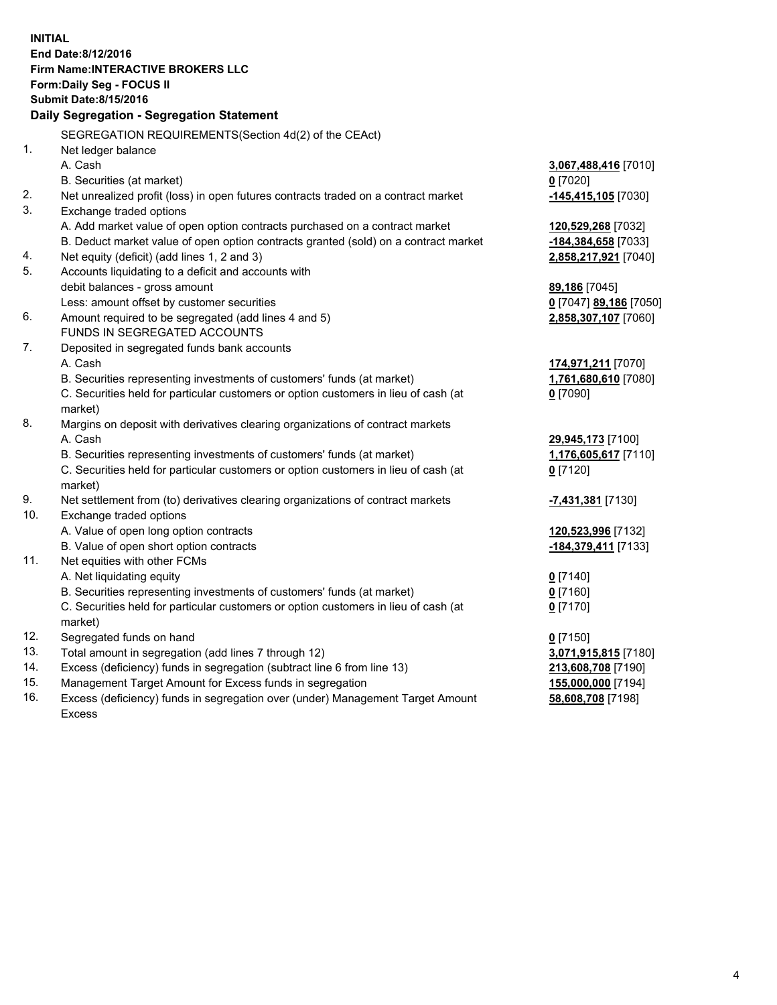**INITIAL End Date:8/12/2016 Firm Name:INTERACTIVE BROKERS LLC Form:Daily Seg - FOCUS II Submit Date:8/15/2016 Daily Segregation - Segregation Statement** SEGREGATION REQUIREMENTS(Section 4d(2) of the CEAct) 1. Net ledger balance A. Cash **3,067,488,416** [7010] B. Securities (at market) **0** [7020] 2. Net unrealized profit (loss) in open futures contracts traded on a contract market **-145,415,105** [7030] 3. Exchange traded options A. Add market value of open option contracts purchased on a contract market **120,529,268** [7032] B. Deduct market value of open option contracts granted (sold) on a contract market **-184,384,658** [7033] 4. Net equity (deficit) (add lines 1, 2 and 3) **2,858,217,921** [7040] 5. Accounts liquidating to a deficit and accounts with debit balances - gross amount **89,186** [7045] Less: amount offset by customer securities **0** [7047] **89,186** [7050] 6. Amount required to be segregated (add lines 4 and 5) **2,858,307,107** [7060] FUNDS IN SEGREGATED ACCOUNTS 7. Deposited in segregated funds bank accounts A. Cash **174,971,211** [7070] B. Securities representing investments of customers' funds (at market) **1,761,680,610** [7080] C. Securities held for particular customers or option customers in lieu of cash (at market) **0** [7090] 8. Margins on deposit with derivatives clearing organizations of contract markets A. Cash **29,945,173** [7100] B. Securities representing investments of customers' funds (at market) **1,176,605,617** [7110] C. Securities held for particular customers or option customers in lieu of cash (at market) **0** [7120] 9. Net settlement from (to) derivatives clearing organizations of contract markets **-7,431,381** [7130] 10. Exchange traded options A. Value of open long option contracts **120,523,996** [7132] B. Value of open short option contracts **-184,379,411** [7133] 11. Net equities with other FCMs A. Net liquidating equity **0** [7140] B. Securities representing investments of customers' funds (at market) **0** [7160] C. Securities held for particular customers or option customers in lieu of cash (at market) **0** [7170] 12. Segregated funds on hand **0** [7150] 13. Total amount in segregation (add lines 7 through 12) **3,071,915,815** [7180] 14. Excess (deficiency) funds in segregation (subtract line 6 from line 13) **213,608,708** [7190] 15. Management Target Amount for Excess funds in segregation **155,000,000** [7194] **58,608,708** [7198]

16. Excess (deficiency) funds in segregation over (under) Management Target Amount Excess